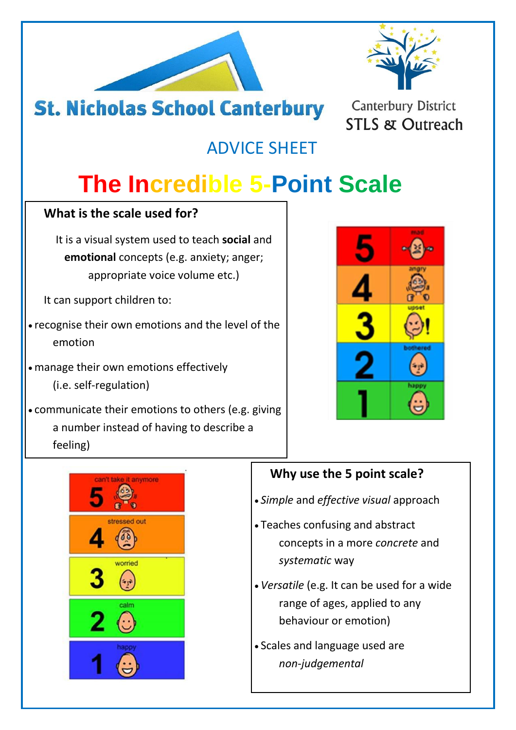



### **St. Nicholas School Canterbury**

**Canterbury District STLS & Outreach** 

### ADVICE SHEET

# **The Incredible 5-Point Scale**

#### **What is the scale used for?**

It is a visual system used to teach **social** and **emotional** concepts (e.g. anxiety; anger; appropriate voice volume etc.)

It can support children to:

- recognise their own emotions and the level of the emotion
- manage their own emotions effectively (i.e. self-regulation)
- communicate their emotions to others (e.g. giving a number instead of having to describe a feeling)





### **Why use the 5 point scale?**

- *Simple* and *effective visual* approach
- Teaches confusing and abstract concepts in a more *concrete* and *systematic* way
- *Versatile* (e.g. It can be used for a wide range of ages, applied to any behaviour or emotion)
- Scales and language used are *non-judgemental*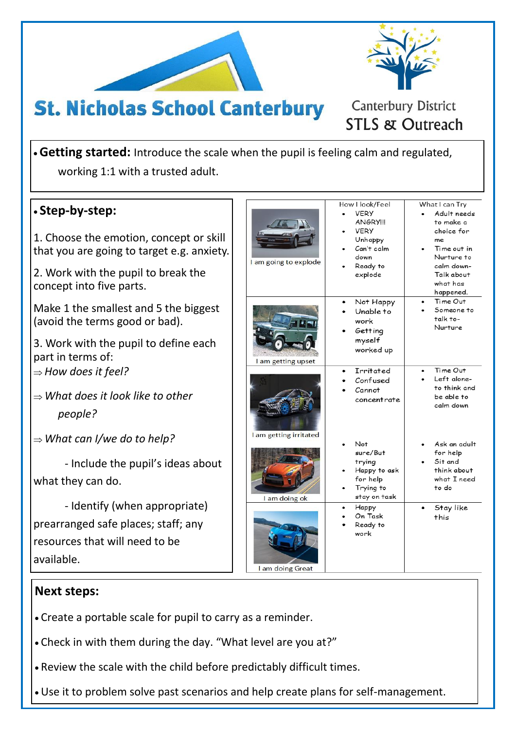



**Canterbury District STLS & Outreach** 

# **St. Nicholas School Canterbury**

**Getting started:** Introduce the scale when the pupil is feeling calm and regulated, working 1:1 with a trusted adult.

| • Step-by-step:<br>1. Choose the emotion, concept or skill<br>that you are going to target e.g. anxiety.<br>2. Work with the pupil to break the<br>concept into five parts. | I am going to explode  | How I look/Feel<br><b>VERY</b><br><b>ANGRYIII</b><br><b>VERY</b><br>Unhappy<br>Can't calm<br>down<br>Ready to<br>explode | What I can Try<br>Adult needs<br>to make a<br>choice for<br>me<br>Time out in<br>Nurture to<br>calm down-<br>Talk about<br>what has<br>happened. |
|-----------------------------------------------------------------------------------------------------------------------------------------------------------------------------|------------------------|--------------------------------------------------------------------------------------------------------------------------|--------------------------------------------------------------------------------------------------------------------------------------------------|
| Make 1 the smallest and 5 the biggest<br>(avoid the terms good or bad).<br>3. Work with the pupil to define each<br>part in terms of:                                       | I am getting upset     | Not Happy<br>Unable to<br>work<br>Getting<br>myself<br>worked up                                                         | Time Out<br>Someone to<br>talk to-<br>Nurture                                                                                                    |
| $\Rightarrow$ How does it feel?<br>$\Rightarrow$ What does it look like to other<br>people?                                                                                 | I am getting irritated | Irritated<br>Confused<br>Cannot<br>concentrate                                                                           | Time Out<br>Left alone-<br>to think and<br>be able to<br>calm down                                                                               |
| $\Rightarrow$ What can I/we do to help?<br>- Include the pupil's ideas about<br>what they can do.<br>- Identify (when appropriate)                                          | I am doing ok          | Not<br>sure/But<br>trying<br>Happy to ask<br>for help<br>Trying to<br>stay on task                                       | Ask an adult<br>for help<br>Sit and<br>think about<br>what I need<br>to do                                                                       |
| prearranged safe places; staff; any<br>resources that will need to be<br>available.                                                                                         | I am doing Great       | Нарру<br>On Task<br>Ready to<br>work                                                                                     | Stay like<br>this                                                                                                                                |

#### **Next steps:**

- Create a portable scale for pupil to carry as a reminder.
- Check in with them during the day. "What level are you at?"
- Review the scale with the child before predictably difficult times.
- Use it to problem solve past scenarios and help create plans for self-management.